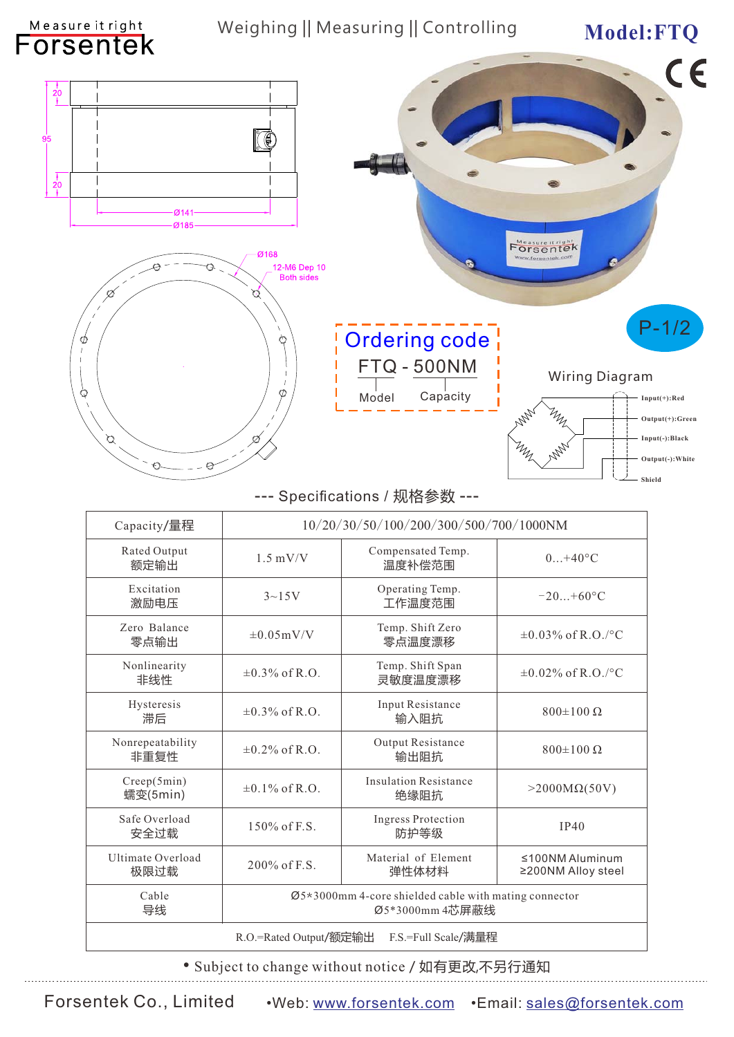| Measure it right<br><b>Forsentek</b>             | Weighing    Measuring    Controlling      |                                                                          | Model:FTQ                                                                                                                    |  |  |
|--------------------------------------------------|-------------------------------------------|--------------------------------------------------------------------------|------------------------------------------------------------------------------------------------------------------------------|--|--|
| $\overline{20}$<br>95<br>$\overline{20}$<br>14۰ج | Ø168<br>12-M6 Dep 10<br><b>Both sides</b> |                                                                          | €<br>Measure it right<br><b>Forsentek</b><br>ww.forsentek.com                                                                |  |  |
| Ø<br>Q<br>$\beta$<br>€                           | Ø.<br>◔<br>Ø<br>Ø                         | <b>Ordering code</b><br><b>FTQ - 500NM</b><br>Capacity<br>Model          | $P-1/2$<br><b>Wiring Diagram</b><br>$Input(+)$ : Red<br>$n_{\!\nu}$<br>Output(+):Green<br>Input(-):Black<br>Output(-): White |  |  |
|                                                  |                                           | --- Specifications / 规格参数 ---                                            | Shield                                                                                                                       |  |  |
| Capacity/量程                                      |                                           | 10/20/30/50/100/200/300/500/700/1000NM                                   |                                                                                                                              |  |  |
| Rated Output<br>额定输出                             | $1.5$ mV/V                                | Compensated Temp.<br>温度补偿范围                                              | $0+40^{\circ}C$                                                                                                              |  |  |
| Excitation<br>激励电压                               | $3 - 15V$                                 | Operating Temp.<br>工作温度范围                                                | $-20+60$ °C                                                                                                                  |  |  |
| Zero Balance<br>零点输出                             | $\pm 0.05$ mV/V                           | Temp. Shift Zero<br>零点温度漂移                                               | $\pm 0.03\%$ of R.O./°C                                                                                                      |  |  |
| Nonlinearity<br>非线性                              | $\pm 0.3\%$ of R.O.                       | Temp. Shift Span<br>灵敏度温度漂移                                              | $\pm 0.02\%$ of R.O./°C                                                                                                      |  |  |
| Hysteresis<br>滞后                                 | $\pm 0.3\%$ of R.O.                       | Input Resistance<br>输入阻抗                                                 | $800±100$ Ω                                                                                                                  |  |  |
| Nonrepeatability<br>非重复性                         | $\pm 0.2\%$ of R.O.                       | Output Resistance<br>输出阻抗                                                | $800±100$ Ω                                                                                                                  |  |  |
| Creep(5min)<br>蠕变(5min)                          | $\pm 0.1\%$ of R.O.                       | <b>Insulation Resistance</b><br>绝缘阻抗                                     | $>2000M\Omega(50V)$                                                                                                          |  |  |
| Safe Overload<br>安全过载                            | 150% of F.S.                              | <b>Ingress Protection</b><br>防护等级                                        | <b>IP40</b>                                                                                                                  |  |  |
| Ultimate Overload<br>极限过载                        | 200% of F.S.                              | Material of Element<br>弹性体材料                                             | $≤100NM$ Aluminum<br>≥200NM Alloy steel                                                                                      |  |  |
| Cable<br>导线                                      |                                           | Ø5*3000mm 4-core shielded cable with mating connector<br>Ø5*3000mm 4芯屏蔽线 |                                                                                                                              |  |  |
|                                                  | R.O.=Rated Output/额定输出                    | F.S.=Full Scale/满量程                                                      |                                                                                                                              |  |  |

• Subject to change without notice / 如有更改,不另行通知